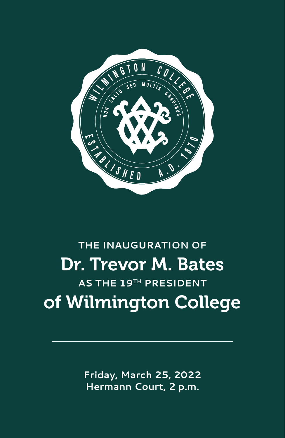

# **THE INAUGURATION OF** Dr. Trevor M. Bates **AS THE 19TH PRESIDENT** of Wilmington College

**Friday, March 25, 2022 Hermann Court, 2 p.m.**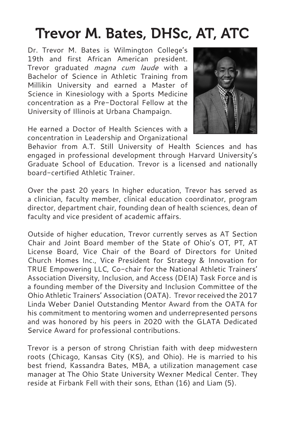# Trevor M. Bates, DHSc, AT, ATC

Dr. Trevor M. Bates is Wilmington College's 19th and first African American president. Trevor graduated *magna cum laude* with a Bachelor of Science in Athletic Training from Millikin University and earned a Master of Science in Kinesiology with a Sports Medicine concentration as a Pre-Doctoral Fellow at the University of Illinois at Urbana Champaign.



He earned a Doctor of Health Sciences with a concentration in Leadership and Organizational

Behavior from A.T. Still University of Health Sciences and has engaged in professional development through Harvard University's Graduate School of Education. Trevor is a licensed and nationally board-certified Athletic Trainer.

Over the past 20 years In higher education, Trevor has served as a clinician, faculty member, clinical education coordinator, program director, department chair, founding dean of health sciences, dean of faculty and vice president of academic affairs.

Outside of higher education, Trevor currently serves as AT Section Chair and Joint Board member of the State of Ohio's OT, PT, AT License Board, Vice Chair of the Board of Directors for United Church Homes Inc., Vice President for Strategy & Innovation for TRUE Empowering LLC, Co-chair for the National Athletic Trainers' Association Diversity, Inclusion, and Access (DEIA) Task Force and is a founding member of the Diversity and Inclusion Committee of the Ohio Athletic Trainers' Association (OATA). Trevor received the 2017 Linda Weber Daniel Outstanding Mentor Award from the OATA for his commitment to mentoring women and underrepresented persons and was honored by his peers in 2020 with the GLATA Dedicated Service Award for professional contributions.

Trevor is a person of strong Christian faith with deep midwestern roots (Chicago, Kansas City (KS), and Ohio). He is married to his best friend, Kassandra Bates, MBA, a utilization management case manager at The Ohio State University Wexner Medical Center. They reside at Firbank Fell with their sons, Ethan (16) and Liam (5).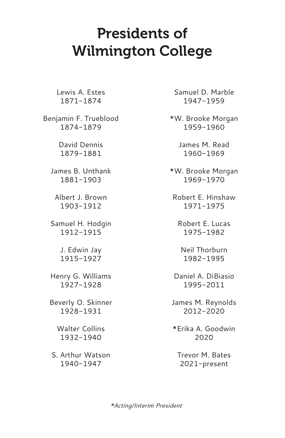## Presidents of Wilmington College

Lewis A. Estes 1871-1874

Benjamin F. Trueblood 1874-1879

> David Dennis 1879-1881

James B. Unthank 1881-1903

Albert J. Brown 1903-1912

Samuel H. Hodgin 1912-1915

> J. Edwin Jay 1915-1927

Henry G. Williams 1927-1928

Beverly O. Skinner 1928-1931

> Walter Collins 1932-1940

S. Arthur Watson 1940-1947

Samuel D. Marble 1947-1959

\*W. Brooke Morgan 1959-1960

> James M. Read 1960-1969

\*W. Brooke Morgan 1969-1970

Robert E. Hinshaw 1971-1975

Robert E. Lucas 1975-1982

Neil Thorburn 1982-1995

Daniel A. DiBiasio 1995-2011

James M. Reynolds 2012-2020

\*Erika A. Goodwin 2020

Trevor M. Bates 2021-present

*\*Acting/Interim President*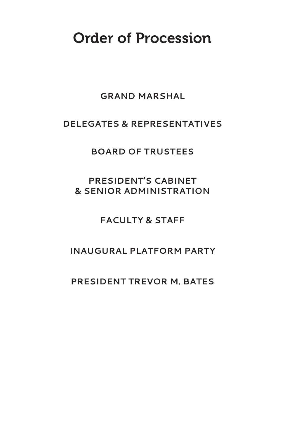### Order of Procession

### **GRAND MARSHAL**

### **DELEGATES & REPRESENTATIVES**

### **BOARD OF TRUSTEES**

### **PRESIDENT'S CABINET & SENIOR ADMINISTRATION**

### **FACULTY & STAFF**

### **INAUGURAL PLATFORM PARTY**

### **PRESIDENT TREVOR M. BATES**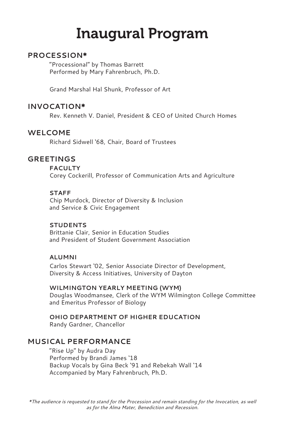# Inaugural Program

#### **PROCESSION\***

"Processional" by Thomas Barrett Performed by Mary Fahrenbruch, Ph.D.

Grand Marshal Hal Shunk, Professor of Art

#### **INVOCATION\***

Rev. Kenneth V. Daniel, President & CEO of United Church Homes

#### **WELCOME**

Richard Sidwell '68, Chair, Board of Trustees

#### **GREETINGS**

**FACULTY**

Corey Cockerill, Professor of Communication Arts and Agriculture

#### **STAFF**

Chip Murdock, Director of Diversity & Inclusion and Service & Civic Engagement

#### **STUDENTS**

Brittanie Clair, Senior in Education Studies and President of Student Government Association

#### **ALUMNI**

Carlos Stewart '02, Senior Associate Director of Development, Diversity & Access Initiatives, University of Dayton

**WILMINGTON YEARLY MEETING (WYM)** Douglas Woodmansee, Clerk of the WYM Wilmington College Committee and Emeritus Professor of Biology

**OHIO DEPARTMENT OF HIGHER EDUCATION** Randy Gardner, Chancellor

#### **MUSICAL PERFORMANCE**

"Rise Up" by Audra Day Performed by Brandi James '18 Backup Vocals by Gina Beck '91 and Rebekah Wall '14 Accompanied by Mary Fahrenbruch, Ph.D.

*\*The audience is requested to stand for the Procession and remain standing for the Invocation, as well as for the Alma Mater, Benediction and Recession.*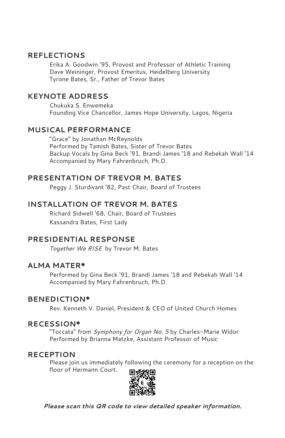#### **REFLECTIONS**

Erika A. Goodwin '95, Provost and Professor of Athletic Training Dave Weininger, Provost Emeritus, Heidelberg University Tyrone Bates, Sr., Father of Trevor Bates

#### **KEYNOTE ADDRESS**

Chukuka S. Enwemeka Founding Vice Chancellor, James Hope University, Lagos, Nigeria

#### **MUSICAL PERFORMANCE**

"Grace" by Jonathan McReynolds Performed by Tamish Bates, Sister of Trevor Bates Backup Vocals by Gina Beck '91, Brandi James '18 and Rebekah Wall '14 Accompanied by Mary Fahrenbruch, Ph.D.

#### **PRESENTATION OF TREVOR M. BATES**

Peggy J. Sturdivant '82, Past Chair, Board of Trustees

#### **INSTALLATION OF TREVOR M. BATES**

Richard Sidwell '68, Chair, Board of Trustees Kassandra Bates, First Lady

#### **PRESIDENTIAL RESPONSE**

*Together We RISE* by Trevor M. Bates

#### **ALMA MATER\***

Performed by Gina Beck '91, Brandi James '18 and Rebekah Wall '14 Accompanied by Mary Fahrenbruch, Ph.D.

#### **BENEDICTION\***

Rev. Kenneth V. Daniel, President & CEO of United Church Homes

#### **RECESSION\***

"Toccata" from *Symphony for Organ No. 5* by Charles-Marie Widor Performed by Brianna Matzke, Assistant Professor of Music

#### **RECEPTION**

Please join us immediately following the ceremony for a reception on the floor of Hermann Court.



*Please scan this QR code to view detailed speaker information.*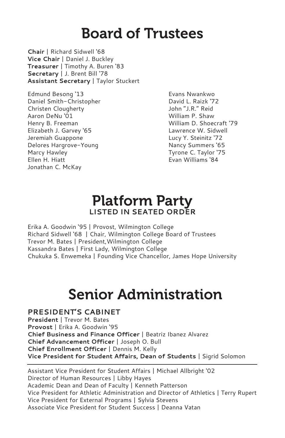## Board of Trustees

**Chair** | Richard Sidwell '68 **Vice Chair** | Daniel J. Buckley **Treasurer** | Timothy A. Buren '83 **Secretary** | J. Brent Bill '78 **Assistant Secretary** | Taylor Stuckert

Edmund Besong '13 Daniel Smith-Christopher Christen Clougherty Aaron DeNu '01 Henry B. Freeman Elizabeth J. Garvey '65 Jeremiah Guappone Delores Hargrove-Young Marcy Hawley Ellen H. Hiatt Jonathan C. McKay

Evans Nwankwo David L. Raizk '72 John "J.R." Reid William P. Shaw William D. Shoecraft '79 Lawrence W. Sidwell Lucy Y. Steinitz '72 Nancy Summers '65 Tyrone C. Taylor '75 Evan Williams '84

### Platform Party **LISTED IN SEATED ORDER**

Erika A. Goodwin '95 | Provost, Wilmington College Richard Sidwell '68 | Chair, Wilmington College Board of Trustees Trevor M. Bates | President,Wilmington College Kassandra Bates | First Lady, Wilmington College Chukuka S. Enwemeka | Founding Vice Chancellor, James Hope University

# Senior Administration

**PRESIDENT'S CABINET President** | Trevor M. Bates **Provost** | Erika A. Goodwin '95 **Chief Business and Finance Officer** | Beatriz Ibanez Alvarez **Chief Advancement Officer** | Joseph O. Bull **Chief Enrollment Officer** | Dennis M. Kelly **Vice President for Student Affairs, Dean of Students** | Sigrid Solomon

Assistant Vice President for Student Affairs | Michael Allbright '02 Director of Human Resources | Libby Hayes Academic Dean and Dean of Faculty | Kenneth Patterson Vice President for Athletic Administration and Director of Athletics | Terry Rupert Vice President for External Programs | Sylvia Stevens Associate Vice President for Student Success | Deanna Vatan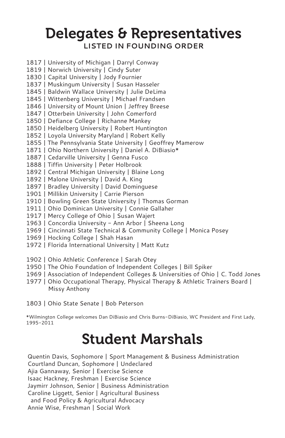### Delegates & Representatives **LISTED IN FOUNDING ORDER**

- 1817 | University of Michigan | Darryl Conway
- 1819 | Norwich University | Cindy Suter
- 1830 | Capital University | Jody Fournier
- 1837 | Muskingum University | Susan Hasseler
- 1845 | Baldwin Wallace University | Julie DeLima
- 1845 | Wittenberg University | Michael Frandsen
- 1846 | University of Mount Union | Jeffrey Breese
- 1847 | Otterbein University | John Comerford
- 1850 | Defiance College | Richanne Mankey
- 1850 | Heidelberg University | Robert Huntington
- 1852 | Loyola University Maryland | Robert Kelly
- 1855 | The Pennsylvania State University | Geoffrey Mamerow
- 1871 | Ohio Northern University | Daniel A. DiBiasio\*
- 1887 | Cedarville University | Genna Fusco
- 1888 | Tiffin University | Peter Holbrook
- 1892 | Central Michigan University | Blaine Long
- 1892 | Malone University | David A. King
- 1897 | Bradley University | David Dominguese
- 1901 | Millikin University | Carrie Pierson
- 1910 | Bowling Green State University | Thomas Gorman
- 1911 | Ohio Dominican University | Connie Gallaher
- 1917 | Mercy College of Ohio | Susan Wajert
- 1963 | Concordia University Ann Arbor | Sheena Long
- 1969 | Cincinnati State Technical & Community College | Monica Posey
- 1969 | Hocking College | Shah Hasan
- 1972 | Florida International University | Matt Kutz
- 1902 | Ohio Athletic Conference | Sarah Otey
- 1950 | The Ohio Foundation of Independent Colleges | Bill Spiker
- 1969 | Association of Independent Colleges & Universities of Ohio | C. Todd Jones
- 1977 | Ohio Occupational Therapy, Physical Therapy & Athletic Trainers Board | Missy Anthony

1803 | Ohio State Senate | Bob Peterson

\*Wilmington College welcomes Dan DiBiasio and Chris Burns-DiBiasio, WC President and First Lady, 1995-2011

## Student Marshals

Quentin Davis, Sophomore | Sport Management & Business Administration Courtland Duncan, Sophomore | Undeclared Ajia Gannaway, Senior | Exercise Science Isaac Hackney, Freshman | Exercise Science Jaymirr Johnson, Senior | Business Administration Caroline Liggett, Senior | Agricultural Business and Food Policy & Agricultural Advocacy Annie Wise, Freshman | Social Work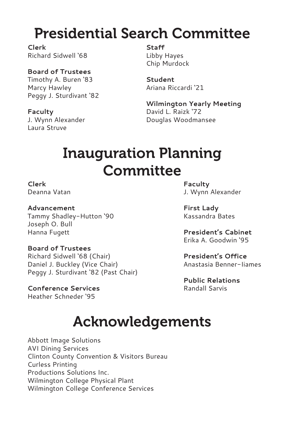# Presidential Search Committee

**Clerk** Richard Sidwell '68

### **Board of Trustees**

Timothy A. Buren '83 Marcy Hawley Peggy J. Sturdivant '82

#### **Faculty**

J. Wynn Alexander Laura Struve

**Staff** Libby Hayes Chip Murdock

**Student** Ariana Riccardi '21

**Wilmington Yearly Meeting** David L. Raizk '72 Douglas Woodmansee

# Inauguration Planning **Committee**

### **Clerk**

Deanna Vatan

**Advancement** Tammy Shadley-Hutton '90 Joseph O. Bull Hanna Fugett

#### **Board of Trustees**

Richard Sidwell '68 (Chair) Daniel J. Buckley (Vice Chair) Peggy J. Sturdivant '82 (Past Chair)

#### **Conference Services**

Heather Schneder '95

**Faculty** J. Wynn Alexander

**First Lady** Kassandra Bates

**President's Cabinet** Erika A. Goodwin '95

**President's Office** Anastasia Benner-Iiames

**Public Relations** Randall Sarvis

# Acknowledgements

Abbott Image Solutions AVI Dining Services Clinton County Convention & Visitors Bureau Curless Printing Productions Solutions Inc. Wilmington College Physical Plant Wilmington College Conference Services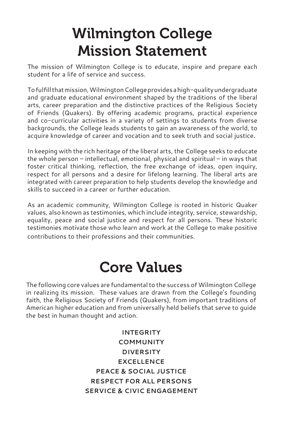# Wilmington College Mission Statement

The mission of Wilmington College is to educate, inspire and prepare each student for a life of service and success.

To fulfill that mission, Wilmington College provides a high-quality undergraduate and graduate educational environment shaped by the traditions of the liberal arts, career preparation and the distinctive practices of the Religious Society of Friends (Quakers). By offering academic programs, practical experience and co-curricular activities in a variety of settings to students from diverse backgrounds, the College leads students to gain an awareness of the world, to acquire knowledge of career and vocation and to seek truth and social justice.

In keeping with the rich heritage of the liberal arts, the College seeks to educate the whole person – intellectual, emotional, physical and spiritual – in ways that foster critical thinking, reflection, the free exchange of ideas, open inquiry, respect for all persons and a desire for lifelong learning. The liberal arts are integrated with career preparation to help students develop the knowledge and skills to succeed in a career or further education.

As an academic community, Wilmington College is rooted in historic Quaker values, also known as testimonies, which include integrity, service, stewardship, equality, peace and social justice and respect for all persons. These historic testimonies motivate those who learn and work at the College to make positive contributions to their professions and their communities.

# Core Values

The following core values are fundamental to the success of Wilmington College in realizing its mission. These values are drawn from the College's founding faith, the Religious Society of Friends (Quakers), from important traditions of American higher education and from universally held beliefs that serve to guide the best in human thought and action.

> **INTEGRITY COMMUNITY DIVERSITY EXCELLENCE PEACE & SOCIAL JUSTICE RESPECT FOR ALL PERSONS SERVICE & CIVIC ENGAGEMENT**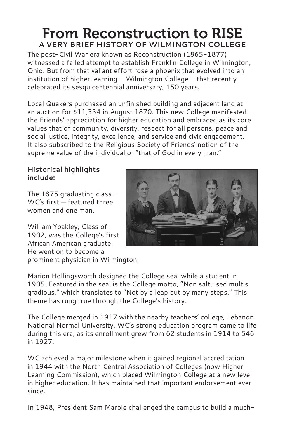### From Reconstruction to RISE **A VERY BRIEF HISTORY OF WILMINGTON COLLEGE**

The post-Civil War era known as Reconstruction (1865-1877) witnessed a failed attempt to establish Franklin College in Wilmington, Ohio. But from that valiant effort rose a phoenix that evolved into an institution of higher learning — Wilmington College — that recently celebrated its sesquicentennial anniversary, 150 years.

Local Quakers purchased an unfinished building and adjacent land at an auction for \$11,334 in August 1870. This new College manifested the Friends' appreciation for higher education and embraced as its core values that of community, diversity, respect for all persons, peace and social justice, integrity, excellence, and service and civic engagement. It also subscribed to the Religious Society of Friends' notion of the supreme value of the individual or "that of God in every man."

#### **Historical highlights include:**

The 1875 graduating class  $-$ WC's first — featured three women and one man.

William Yoakley, Class of 1902, was the College's first African American graduate. He went on to become a prominent physician in Wilmington.



The College merged in 1917 with the nearby teachers' college, Lebanon National Normal University. WC's strong education program came to life during this era, as its enrollment grew from 62 students in 1914 to 546 in 1927.

WC achieved a major milestone when it gained regional accreditation in 1944 with the North Central Association of Colleges (now Higher Learning Commission), which placed Wilmington College at a new level in higher education. It has maintained that important endorsement ever since.

In 1948, President Sam Marble challenged the campus to build a much-

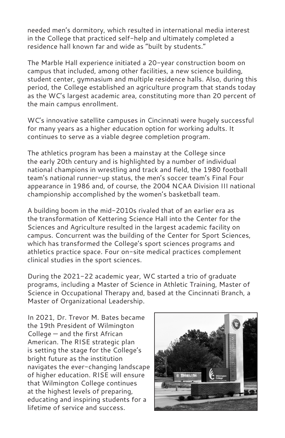needed men's dormitory, which resulted in international media interest in the College that practiced self-help and ultimately completed a residence hall known far and wide as "built by students."

The Marble Hall experience initiated a 20-year construction boom on campus that included, among other facilities, a new science building, student center, gymnasium and multiple residence halls. Also, during this period, the College established an agriculture program that stands today as the WC's largest academic area, constituting more than 20 percent of the main campus enrollment.

WC's innovative satellite campuses in Cincinnati were hugely successful for many years as a higher education option for working adults. It continues to serve as a viable degree completion program.

The athletics program has been a mainstay at the College since the early 20th century and is highlighted by a number of individual national champions in wrestling and track and field, the 1980 football team's national runner-up status, the men's soccer team's Final Four appearance in 1986 and, of course, the 2004 NCAA Division III national championship accomplished by the women's basketball team.

A building boom in the mid-2010s rivaled that of an earlier era as the transformation of Kettering Science Hall into the Center for the Sciences and Agriculture resulted in the largest academic facility on campus. Concurrent was the building of the Center for Sport Sciences, which has transformed the College's sport sciences programs and athletics practice space. Four on-site medical practices complement clinical studies in the sport sciences.

During the 2021-22 academic year, WC started a trio of graduate programs, including a Master of Science in Athletic Training, Master of Science in Occupational Therapy and, based at the Cincinnati Branch, a Master of Organizational Leadership.

In 2021, Dr. Trevor M. Bates became the 19th President of Wilmington College — and the first African American. The RISE strategic plan is setting the stage for the College's bright future as the institution navigates the ever-changing landscape of higher education. RISE will ensure that Wilmington College continues at the highest levels of preparing, educating and inspiring students for a lifetime of service and success.

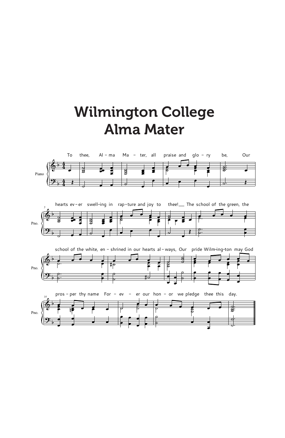